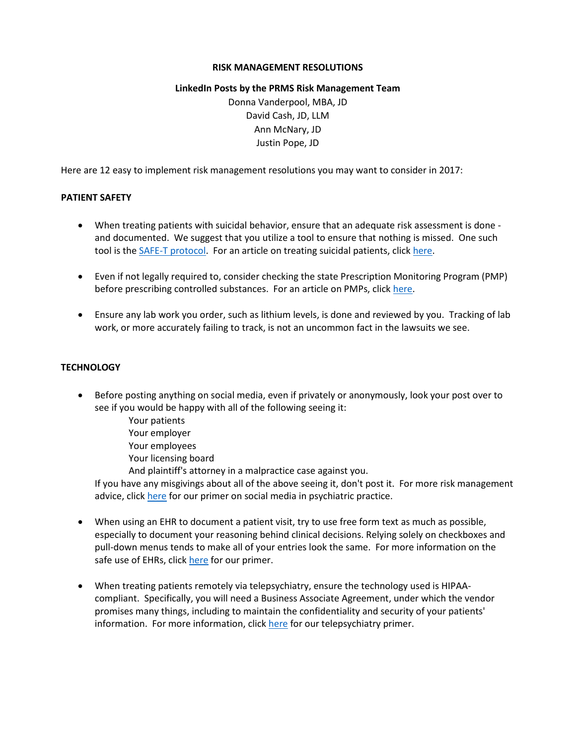# **RISK MANAGEMENT RESOLUTIONS**

# **LinkedIn Posts by the PRMS Risk Management Team**

Donna Vanderpool, MBA, JD David Cash, JD, LLM Ann McNary, JD Justin Pope, JD

Here are 12 easy to implement risk management resolutions you may want to consider in 2017:

# **PATIENT SAFETY**

- When treating patients with suicidal behavior, ensure that an adequate risk assessment is done and documented. We suggest that you utilize a tool to ensure that nothing is missed. One such tool is the [SAFE-T protocol.](http://store.samhsa.gov/apps/suicidesafe/) For an article on treating suicidal patients, click [here.](https://psychprogram.com/campaigns/NewYearsResolution/RM_0122SuicideGen.pdf)
- Even if not legally required to, consider checking the state Prescription Monitoring Program (PMP) before prescribing controlled substances. For an article on PMPs, click [here.](https://psychprogram.com/campaigns/NewYearsResolution/RM_218.1PMP_NoYear.pdf)
- Ensure any lab work you order, such as lithium levels, is done and reviewed by you. Tracking of lab work, or more accurately failing to track, is not an uncommon fact in the lawsuits we see.

# **TECHNOLOGY**

- Before posting anything on social media, even if privately or anonymously, look your post over to see if you would be happy with all of the following seeing it:
	- Your patients Your employer
	- Your employees
	- Your licensing board
	- And plaintiff's attorney in a malpractice case against you.

If you have any misgivings about all of the above seeing it, don't post it. For more risk management advice, clic[k here](https://psychprogram.com/campaigns/NewYearsResolution/Social_Media_Booklet.pdf) for our primer on social media in psychiatric practice.

- When using an EHR to document a patient visit, try to use free form text as much as possible, especially to document your reasoning behind clinical decisions. Relying solely on checkboxes and pull-down menus tends to make all of your entries look the same. For more information on the safe use of EHRs, click [here](https://psychprogram.com/campaigns/NewYearsResolution/EHRbook2016.pdf) for our primer.
- When treating patients remotely via telepsychiatry, ensure the technology used is HIPAAcompliant. Specifically, you will need a Business Associate Agreement, under which the vendor promises many things, including to maintain the confidentiality and security of your patients' information. For more information, clic[k here](https://psychprogram.com/campaigns/NewYearsResolution/Telepsychiatry.pdf) for our telepsychiatry primer.